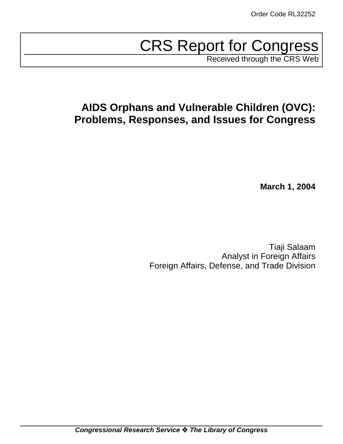# CRS Report for Congress

Received through the CRS Web

## **AIDS Orphans and Vulnerable Children (OVC): Problems, Responses, and Issues for Congress**

**March 1, 2004**

Tiaji Salaam Analyst in Foreign Affairs Foreign Affairs, Defense, and Trade Division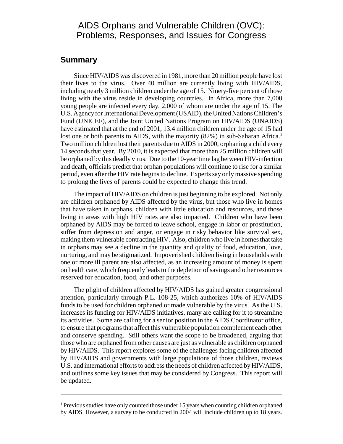## AIDS Orphans and Vulnerable Children (OVC): Problems, Responses, and Issues for Congress

## **Summary**

Since HIV/AIDS was discovered in 1981, more than 20 million people have lost their lives to the virus. Over 40 million are currently living with HIV/AIDS, including nearly 3 million children under the age of 15. Ninety-five percent of those living with the virus reside in developing countries. In Africa, more than 7,000 young people are infected every day, 2,000 of whom are under the age of 15. The U.S. Agency for International Development (USAID), the United Nations Children's Fund (UNICEF), and the Joint United Nations Program on HIV/AIDS (UNAIDS) have estimated that at the end of 2001, 13.4 million children under the age of 15 had lost one or both parents to AIDS, with the majority  $(82%)$  in sub-Saharan Africa.<sup>1</sup> Two million children lost their parents due to AIDS in 2000, orphaning a child every 14 seconds that year. By 2010, it is expected that more than 25 million children will be orphaned by this deadly virus. Due to the 10-year time lag between HIV-infection and death, officials predict that orphan populations will continue to rise for a similar period, even after the HIV rate begins to decline. Experts say only massive spending to prolong the lives of parents could be expected to change this trend.

The impact of HIV/AIDS on children is just beginning to be explored. Not only are children orphaned by AIDS affected by the virus, but those who live in homes that have taken in orphans, children with little education and resources, and those living in areas with high HIV rates are also impacted. Children who have been orphaned by AIDS may be forced to leave school, engage in labor or prostitution, suffer from depression and anger, or engage in risky behavior like survival sex, making them vulnerable contracting HIV. Also, children who live in homes that take in orphans may see a decline in the quantity and quality of food, education, love, nurturing, and may be stigmatized. Impoverished children living in households with one or more ill parent are also affected, as an increasing amount of money is spent on health care, which frequently leads to the depletion of savings and other resources reserved for education, food, and other purposes.

The plight of children affected by HIV/AIDS has gained greater congressional attention, particularly through P.L. 108-25, which authorizes 10% of HIV/AIDS funds to be used for children orphaned or made vulnerable by the virus. As the U.S. increases its funding for HIV/AIDS initiatives, many are calling for it to streamline its activities. Some are calling for a senior position in the AIDS Coordinator office, to ensure that programs that affect this vulnerable population complement each other and conserve spending. Still others want the scope to be broadened, arguing that those who are orphaned from other causes are just as vulnerable as children orphaned by HIV/AIDS. This report explores some of the challenges facing children affected by HIV/AIDS and governments with large populations of those children, reviews U.S. and international efforts to address the needs of children affected by HIV/AIDS, and outlines some key issues that may be considered by Congress. This report will be updated.

<sup>&</sup>lt;sup>1</sup> Previous studies have only counted those under 15 years when counting children orphaned by AIDS. However, a survey to be conducted in 2004 will include children up to 18 years.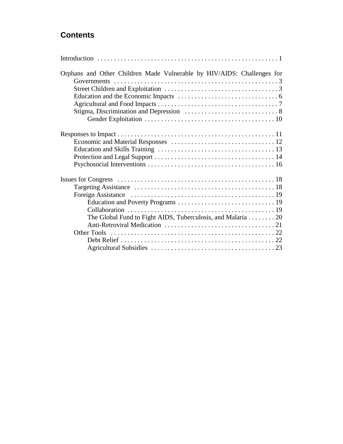## **Contents**

| Orphans and Other Children Made Vulnerable by HIV/AIDS: Challenges for |
|------------------------------------------------------------------------|
|                                                                        |
|                                                                        |
|                                                                        |
|                                                                        |
|                                                                        |
|                                                                        |
|                                                                        |
|                                                                        |
|                                                                        |
|                                                                        |
|                                                                        |
|                                                                        |
|                                                                        |
|                                                                        |
|                                                                        |
| The Global Fund to Fight AIDS, Tuberculosis, and Malaria 20            |
|                                                                        |
|                                                                        |
|                                                                        |
|                                                                        |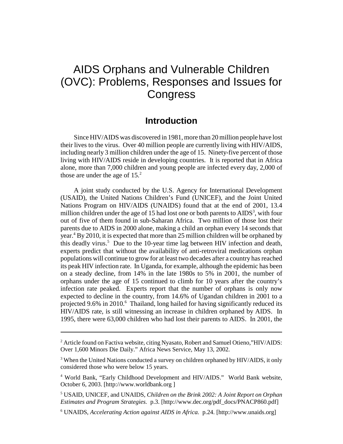## AIDS Orphans and Vulnerable Children (OVC): Problems, Responses and Issues for **Congress**

## **Introduction**

Since HIV/AIDS was discovered in 1981, more than 20 million people have lost their lives to the virus. Over 40 million people are currently living with HIV/AIDS, including nearly 3 million children under the age of 15. Ninety-five percent of those living with HIV/AIDS reside in developing countries. It is reported that in Africa alone, more than 7,000 children and young people are infected every day, 2,000 of those are under the age of  $15<sup>2</sup>$ 

A joint study conducted by the U.S. Agency for International Development (USAID), the United Nations Children's Fund (UNICEF), and the Joint United Nations Program on HIV/AIDS (UNAIDS) found that at the end of 2001, 13.4 million children under the age of 15 had lost one or both parents to  $\text{AIDS}^3$ , with four out of five of them found in sub-Saharan Africa. Two million of those lost their parents due to AIDS in 2000 alone, making a child an orphan every 14 seconds that year.<sup>4</sup> By 2010, it is expected that more than 25 million children will be orphaned by this deadly virus.<sup>5</sup> Due to the 10-year time lag between HIV infection and death, experts predict that without the availability of anti-retroviral medications orphan populations will continue to grow for at least two decades after a country has reached its peak HIV infection rate. In Uganda, for example, although the epidemic has been on a steady decline, from 14% in the late 1980s to 5% in 2001, the number of orphans under the age of 15 continued to climb for 10 years after the country's infection rate peaked. Experts report that the number of orphans is only now expected to decline in the country, from 14.6% of Ugandan children in 2001 to a projected 9.6% in 2010.<sup>6</sup> Thailand, long hailed for having significantly reduced its HIV/AIDS rate, is still witnessing an increase in children orphaned by AIDS. In 1995, there were 63,000 children who had lost their parents to AIDS. In 2001, the

<sup>6</sup> UNAIDS, Accelerating Action against AIDS in Africa. p.24. [http://www.unaids.org]

 $2^2$  Article found on Factiva website, citing Nyasato, Robert and Samuel Otieno,"HIV/AIDS: Over 1,600 Minors Die Daily." Africa News Service, May 13, 2002.

<sup>&</sup>lt;sup>3</sup> When the United Nations conducted a survey on children orphaned by HIV/AIDS, it only considered those who were below 15 years.

<sup>4</sup> World Bank, "Early Childhood Development and HIV/AIDS." World Bank website, October 6, 2003. [http://www.worldbank.org ]

<sup>5</sup> USAID, UNICEF, and UNAIDS, *Children on the Brink 2002: A Joint Report on Orphan Estimates and Program Strategies.* p.3. [http://www.dec.org/pdf\_docs/PNACP860.pdf]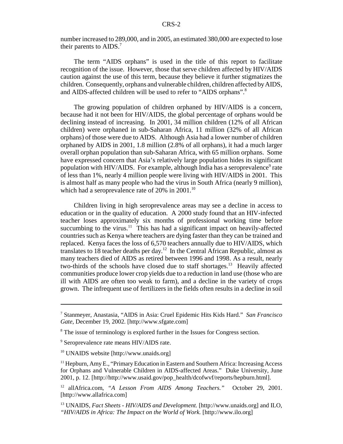number increased to 289,000, and in 2005, an estimated 380,000 are expected to lose their parents to AIDS.<sup>7</sup>

The term "AIDS orphans" is used in the title of this report to facilitate recognition of the issue. However, those that serve children affected by HIV/AIDS caution against the use of this term, because they believe it further stigmatizes the children. Consequently, orphans and vulnerable children, children affected by AIDS, and AIDS-affected children will be used to refer to "AIDS orphans".<sup>8</sup>

The growing population of children orphaned by HIV/AIDS is a concern, because had it not been for HIV/AIDS, the global percentage of orphans would be declining instead of increasing. In 2001, 34 million children (12% of all African children) were orphaned in sub-Saharan Africa, 11 million (32% of all African orphans) of those were due to AIDS. Although Asia had a lower number of children orphaned by AIDS in 2001, 1.8 million (2.8% of all orphans), it had a much larger overall orphan population than sub-Saharan Africa, with 65 million orphans. Some have expressed concern that Asia's relatively large population hides its significant population with HIV/AIDS. For example, although India has a seroprevalence<sup>9</sup> rate of less than 1%, nearly 4 million people were living with HIV/AIDS in 2001. This is almost half as many people who had the virus in South Africa (nearly 9 million), which had a seroprevalence rate of  $20\%$  in  $2001$ .<sup>10</sup>

Children living in high seroprevalence areas may see a decline in access to education or in the quality of education. A 2000 study found that an HIV-infected teacher loses approximately six months of professional working time before succumbing to the virus. $11$  This has had a significant impact on heavily-affected countries such as Kenya where teachers are dying faster than they can be trained and replaced. Kenya faces the loss of 6,570 teachers annually due to HIV/AIDS, which translates to 18 teacher deaths per day.<sup>12</sup> In the Central African Republic, almost as many teachers died of AIDS as retired between 1996 and 1998. As a result, nearly two-thirds of the schools have closed due to staff shortages.<sup>13</sup> Heavily affected communities produce lower crop yields due to a reduction in land use (those who are ill with AIDS are often too weak to farm), and a decline in the variety of crops grown. The infrequent use of fertilizers in the fields often results in a decline in soil

<sup>7</sup> Stanmeyer, Anastasia, "AIDS in Asia: Cruel Epidemic Hits Kids Hard." *San Francisco Gate*, December 19, 2002. [http://www.sfgate.com]

<sup>&</sup>lt;sup>8</sup> The issue of terminology is explored further in the Issues for Congress section.

<sup>&</sup>lt;sup>9</sup> Seroprevalence rate means HIV/AIDS rate.

<sup>10</sup> UNAIDS website [http://www.unaids.org]

<sup>&</sup>lt;sup>11</sup> Hepburn, Amy E., "Primary Education in Eastern and Southern Africa: Increasing Access for Orphans and Vulnerable Children in AIDS-affected Areas." Duke University, June 2001, p. 12. [http://http://www.usaid.gov/pop\_health/dcofwvf/reports/hepburn.html].

<sup>12</sup> allAfrica.com, *"A Lesson From AIDS Among Teachers."* October 29, 2001. [http://www.allafrica.com]

<sup>13</sup> UNAIDS, *Fact Sheets - HIV/AIDS and Development.* [http://www.unaids.org] and ILO, *"HIV/AIDS in Africa: The Impact on the World of Work.* [http://www.ilo.org]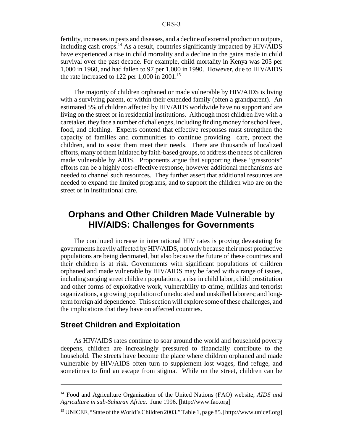fertility, increases in pests and diseases, and a decline of external production outputs, including cash crops.14 As a result, countries significantly impacted by HIV/AIDS have experienced a rise in child mortality and a decline in the gains made in child survival over the past decade. For example, child mortality in Kenya was 205 per 1,000 in 1960, and had fallen to 97 per 1,000 in 1990. However, due to HIV/AIDS the rate increased to 122 per 1,000 in 2001.<sup>15</sup>

The majority of children orphaned or made vulnerable by HIV/AIDS is living with a surviving parent, or within their extended family (often a grandparent). An estimated 5% of children affected by HIV/AIDS worldwide have no support and are living on the street or in residential institutions. Although most children live with a caretaker, they face a number of challenges, including finding money for school fees, food, and clothing. Experts contend that effective responses must strengthen the capacity of families and communities to continue providing care, protect the children, and to assist them meet their needs. There are thousands of localized efforts, many of them initiated by faith-based groups, to address the needs of children made vulnerable by AIDS. Proponents argue that supporting these "grassroots" efforts can be a highly cost-effective response, however additional mechanisms are needed to channel such resources. They further assert that additional resources are needed to expand the limited programs, and to support the children who are on the street or in institutional care.

## **Orphans and Other Children Made Vulnerable by HIV/AIDS: Challenges for Governments**

The continued increase in international HIV rates is proving devastating for governments heavily affected by HIV/AIDS, not only because their most productive populations are being decimated, but also because the future of these countries and their children is at risk. Governments with significant populations of children orphaned and made vulnerable by HIV/AIDS may be faced with a range of issues, including surging street children populations, a rise in child labor, child prostitution and other forms of exploitative work, vulnerability to crime, militias and terrorist organizations, a growing population of uneducated and unskilled laborers; and longterm foreign aid dependence. This section will explore some of these challenges, and the implications that they have on affected countries.

## **Street Children and Exploitation**

As HIV/AIDS rates continue to soar around the world and household poverty deepens, children are increasingly pressured to financially contribute to the household. The streets have become the place where children orphaned and made vulnerable by HIV/AIDS often turn to supplement lost wages, find refuge, and sometimes to find an escape from stigma. While on the street, children can be

<sup>14</sup> Food and Agriculture Organization of the United Nations (FAO) website, *AIDS and Agriculture in sub-Saharan Africa.* June 1996. [http://www.fao.org]

<sup>&</sup>lt;sup>15</sup> UNICEF, "State of the World's Children 2003." Table 1, page 85. [http://www.unicef.org]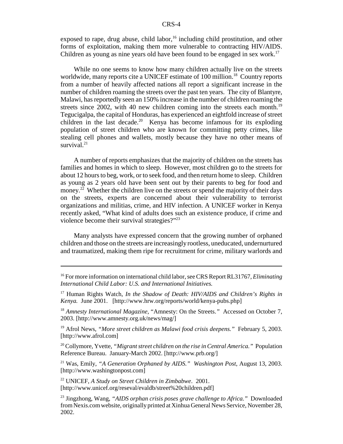exposed to rape, drug abuse, child labor, $16$  including child prostitution, and other forms of exploitation, making them more vulnerable to contracting HIV/AIDS. Children as young as nine years old have been found to be engaged in sex work.<sup>17</sup>

While no one seems to know how many children actually live on the streets worldwide, many reports cite a UNICEF estimate of 100 million.<sup>18</sup> Country reports from a number of heavily affected nations all report a significant increase in the number of children roaming the streets over the past ten years. The city of Blantyre, Malawi, has reportedly seen an 150% increase in the number of children roaming the streets since 2002, with 40 new children coming into the streets each month.<sup>19</sup> Tegucigalpa, the capital of Honduras, has experienced an eightfold increase of street children in the last decade.<sup>20</sup> Kenya has become infamous for its exploding population of street children who are known for committing petty crimes, like stealing cell phones and wallets, mostly because they have no other means of survival. $^{21}$ 

A number of reports emphasizes that the majority of children on the streets has families and homes in which to sleep. However, most children go to the streets for about 12 hours to beg, work, or to seek food, and then return home to sleep. Children as young as 2 years old have been sent out by their parents to beg for food and money.<sup>22</sup> Whether the children live on the streets or spend the majority of their days on the streets, experts are concerned about their vulnerability to terrorist organizations and militias, crime, and HIV infection. A UNICEF worker in Kenya recently asked, "What kind of adults does such an existence produce, if crime and violence become their survival strategies?"<sup>23</sup>

Many analysts have expressed concern that the growing number of orphaned children and those on the streets are increasingly rootless, uneducated, undernurtured and traumatized, making them ripe for recruitment for crime, military warlords and

19 Afrol News, *"More street children as Malawi food crisis deepens."* February 5, 2003. [http://www.afrol.com]

20 Collymore, Yvette, *"Migrant street children on the rise in Central America."* Population Reference Bureau. January-March 2002. [http://www.prb.org/]

21 Was, Emily, *"A Generation Orphaned by AIDS." Washington Post*, August 13, 2003. [http://www.washingtonpost.com]

22 UNICEF, *A Study on Street Children in Zimbabwe*. 2001. [http://www.unicef.org/reseval/evaldb/street%20children.pdf]

<sup>16</sup> For more information on international child labor, see CRS Report RL31767, *Eliminating International Child Labor: U.S. and International Initiatives.*

<sup>17</sup> Human Rights Watch, *In the Shadow of Death: HIV/AIDS and Children's Rights in Kenya.* June 2001. [http://www.hrw.org/reports/world/kenya-pubs.php]

<sup>&</sup>lt;sup>18</sup> Amnesty International Magazine, "Amnesty: On the Streets." Accessed on October 7, 2003. [http://www.amnesty.org.uk/news/mag/]

<sup>23</sup> Jingzhong, Wang, *"AIDS orphan crisis poses grave challenge to Africa."* Downloaded from Nexis.com website, originally printed at Xinhua General News Service, November 28, 2002.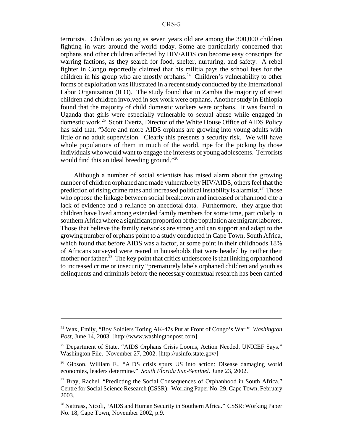terrorists. Children as young as seven years old are among the 300,000 children fighting in wars around the world today. Some are particularly concerned that orphans and other children affected by HIV/AIDS can become easy conscripts for warring factions, as they search for food, shelter, nurturing, and safety. A rebel fighter in Congo reportedly claimed that his militia pays the school fees for the children in his group who are mostly orphans.<sup>24</sup> Children's vulnerability to other forms of exploitation was illustrated in a recent study conducted by the International Labor Organization (ILO). The study found that in Zambia the majority of street children and children involved in sex work were orphans. Another study in Ethiopia found that the majority of child domestic workers were orphans. It was found in Uganda that girls were especially vulnerable to sexual abuse while engaged in domestic work.25 Scott Evertz, Director of the White House Office of AIDS Policy has said that, "More and more AIDS orphans are growing into young adults with little or no adult supervision. Clearly this presents a security risk. We will have whole populations of them in much of the world, ripe for the picking by those individuals who would want to engage the interests of young adolescents. Terrorists would find this an ideal breeding ground."<sup>26</sup>

Although a number of social scientists has raised alarm about the growing number of children orphaned and made vulnerable by HIV/AIDS, others feel that the prediction of rising crime rates and increased political instability is alarmist.<sup>27</sup> Those who oppose the linkage between social breakdown and increased orphanhood cite a lack of evidence and a reliance on anecdotal data. Furthermore, they argue that children have lived among extended family members for some time, particularly in southern Africa where a significant proportion of the population are migrant laborers. Those that believe the family networks are strong and can support and adapt to the growing number of orphans point to a study conducted in Cape Town, South Africa, which found that before AIDS was a factor, at some point in their childhoods 18% of Africans surveyed were reared in households that were headed by neither their mother nor father.<sup>28</sup> The key point that critics underscore is that linking orphanhood to increased crime or insecurity "prematurely labels orphaned children and youth as delinquents and criminals before the necessary contextual research has been carried

<sup>24</sup> Wax, Emily, "Boy Soldiers Toting AK-47s Put at Front of Congo's War." *Washington Post*, June 14, 2003. [http://www.washingtonpost.com]

<sup>&</sup>lt;sup>25</sup> Department of State, "AIDS Orphans Crisis Looms, Action Needed, UNICEF Says." Washington File. November 27, 2002. [http://usinfo.state.gov/]

<sup>&</sup>lt;sup>26</sup> Gibson, William E., "AIDS crisis spurs US into action: Disease damaging world economies, leaders determine." *South Florida Sun-Sentinel*. June 23, 2002.

 $27$  Bray, Rachel, "Predicting the Social Consequences of Orphanhood in South Africa." Centre for Social Science Research (CSSR): Working Paper No. 29, Cape Town, February 2003.

<sup>&</sup>lt;sup>28</sup> Nattrass, Nicoli, "AIDS and Human Security in Southern Africa." CSSR: Working Paper No. 18, Cape Town, November 2002, p.9.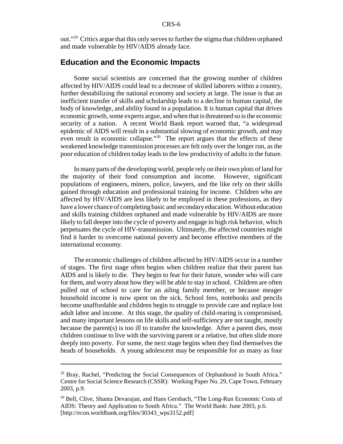out."29 Critics argue that this only serves to further the stigma that children orphaned and made vulnerable by HIV/AIDS already face.

## **Education and the Economic Impacts**

Some social scientists are concerned that the growing number of children affected by HIV/AIDS could lead to a decrease of skilled laborers within a country, further destabilizing the national economy and society at large. The issue is that an inefficient transfer of skills and scholarship leads to a decline in human capital, the body of knowledge, and ability found in a population. It is human capital that drives economic growth, some experts argue, and when that is threatened so is the economic security of a nation. A recent World Bank report warned that, "a widespread epidemic of AIDS will result in a substantial slowing of economic growth, and may even result in economic collapse."<sup>30</sup> The report argues that the effects of these weakened knowledge transmission processes are felt only over the longer run, as the poor education of children today leads to the low productivity of adults in the future.

In many parts of the developing world, people rely on their own plots of land for the majority of their food consumption and income. However, significant populations of engineers, miners, police, lawyers, and the like rely on their skills gained through education and professional training for income. Children who are affected by HIV/AIDS are less likely to be employed in these professions, as they have a lower chance of completing basic and secondary education. Without education and skills training children orphaned and made vulnerable by HIV/AIDS are more likely to fall deeper into the cycle of poverty and engage in high risk behavior, which perpetuates the cycle of HIV-transmission. Ultimately, the affected countries might find it harder to overcome national poverty and become effective members of the international economy.

The economic challenges of children affected by HIV/AIDS occur in a number of stages. The first stage often begins when children realize that their parent has AIDS and is likely to die. They begin to fear for their future, wonder who will care for them, and worry about how they will be able to stay in school. Children are often pulled out of school to care for an ailing family member, or because meager household income is now spent on the sick. School fees, notebooks and pencils become unaffordable and children begin to struggle to provide care and replace lost adult labor and income. At this stage, the quality of child-rearing is compromised, and many important lessons on life skills and self-sufficiency are not taught, mostly because the parent(s) is too ill to transfer the knowledge. After a parent dies, most children continue to live with the surviving parent or a relative, but often slide more deeply into poverty. For some, the next stage begins when they find themselves the heads of households. A young adolescent may be responsible for as many as four

<sup>&</sup>lt;sup>29</sup> Bray, Rachel, "Predicting the Social Consequences of Orphanhood in South Africa." Centre for Social Science Research (CSSR): Working Paper No. 29, Cape Town, February 2003, p.9.

<sup>30</sup> Bell, Clive, Shanta Devarajan, and Hans Gersbach, "The Long-Run Economic Costs of AIDS: Theory and Application to South Africa." The World Bank: June 2003, p.6. [http://econ.worldbank.org/files/30343\_wps3152.pdf]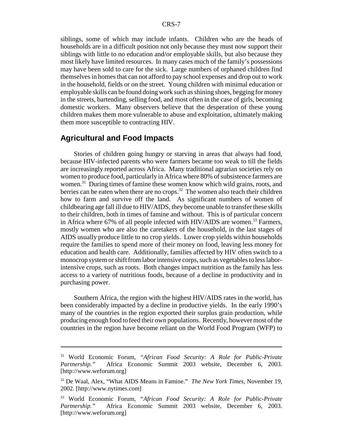siblings, some of which may include infants. Children who are the heads of households are in a difficult position not only because they must now support their siblings with little to no education and/or employable skills, but also because they most likely have limited resources. In many cases much of the family's possessions may have been sold to care for the sick. Large numbers of orphaned children find themselves in homes that can not afford to pay school expenses and drop out to work in the household, fields or on the street. Young children with minimal education or employable skills can be found doing work such as shining shoes, begging for money in the streets, bartending, selling food, and most often in the case of girls, becoming domestic workers. Many observers believe that the desperation of these young children makes them more vulnerable to abuse and exploitation, ultimately making them more susceptible to contracting HIV.

#### **Agricultural and Food Impacts**

Stories of children going hungry or starving in areas that always had food, because HIV-infected parents who were farmers became too weak to till the fields are increasingly reported across Africa. Many traditional agrarian societies rely on women to produce food, particularly in Africa where 80% of subsistence farmers are women.<sup>31</sup> During times of famine these women know which wild grains, roots, and berries can be eaten when there are no crops.<sup>32</sup> The women also teach their children how to farm and survive off the land. As significant numbers of women of childbearing age fall ill due to HIV/AIDS, they become unable to transfer these skills to their children, both in times of famine and without. This is of particular concern in Africa where 67% of all people infected with HIV/AIDS are women.<sup>33</sup> Farmers, mostly women who are also the caretakers of the household, in the last stages of AIDS usually produce little to no crop yields. Lower crop yields within households require the families to spend more of their money on food, leaving less money for education and health care. Additionally, families affected by HIV often switch to a monocrop system or shift from labor intensive corps, such as vegetables to less laborintensive crops, such as roots. Both changes impact nutrition as the family has less access to a variety of nutritious foods, because of a decline in productivity and in purchasing power.

Southern Africa, the region with the highest HIV/AIDS rates in the world, has been considerably impacted by a decline in productive yields. In the early 1990's many of the countries in the region exported their surplus grain production, while producing enough food to feed their own populations. Recently, however most of the countries in the region have become reliant on the World Food Program (WFP) to

<sup>31</sup> World Economic Forum, *"African Food Security: A Role for Public-Private Partnership."* Africa Economic Summit 2003 website, December 6, 2003. [http://www.weforum.org]

<sup>32</sup> De Waal, Alex, "What AIDS Means in Famine." *The New York Times*, November 19, 2002. [http://www.nytimes.com]

<sup>33</sup> World Economic Forum, *"African Food Security: A Role for Public-Private Partnership."* Africa Economic Summit 2003 website, December 6, 2003. [http://www.weforum.org]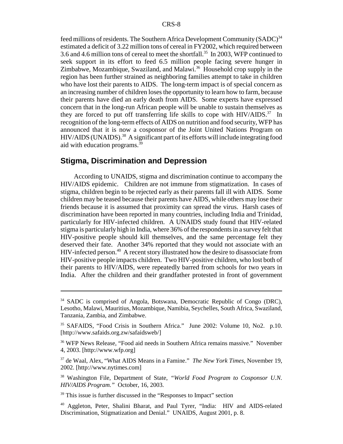feed millions of residents. The Southern Africa Development Community  $(SADC)^{34}$ estimated a deficit of 3.22 million tons of cereal in FY2002, which required between 3.6 and 4.6 million tons of cereal to meet the shortfall.<sup>35</sup> In 2003, WFP continued to seek support in its effort to feed 6.5 million people facing severe hunger in Zimbabwe, Mozambique, Swaziland, and Malawi.<sup>36</sup> Household crop supply in the region has been further strained as neighboring families attempt to take in children who have lost their parents to AIDS. The long-term impact is of special concern as an increasing number of children loses the opportunity to learn how to farm, because their parents have died an early death from AIDS. Some experts have expressed concern that in the long-run African people will be unable to sustain themselves as they are forced to put off transferring life skills to cope with  $HIV/ALDS$ <sup>37</sup> In recognition of the long-term effects of AIDS on nutrition and food security, WFP has announced that it is now a cosponsor of the Joint United Nations Program on HIV/AIDS (UNAIDS).<sup>38</sup> A significant part of its efforts will include integrating food aid with education programs.39

## **Stigma, Discrimination and Depression**

According to UNAIDS, stigma and discrimination continue to accompany the HIV/AIDS epidemic. Children are not immune from stigmatization. In cases of stigma, children begin to be rejected early as their parents fall ill with AIDS. Some children may be teased because their parents have AIDS, while others may lose their friends because it is assumed that proximity can spread the virus. Harsh cases of discrimination have been reported in many countries, including India and Trinidad, particularly for HIV-infected children. A UNAIDS study found that HIV-related stigma is particularly high in India, where 36% of the respondents in a survey felt that HIV-positive people should kill themselves, and the same percentage felt they deserved their fate. Another 34% reported that they would not associate with an HIV-infected person.40 A recent story illustrated how the desire to disassociate from HIV-positive people impacts children. Two HIV-positive children, who lost both of their parents to HIV/AIDS, were repeatedly barred from schools for two years in India. After the children and their grandfather protested in front of government

<sup>&</sup>lt;sup>34</sup> SADC is comprised of Angola, Botswana, Democratic Republic of Congo (DRC), Lesotho, Malawi, Mauritius, Mozambique, Namibia, Seychelles, South Africa, Swaziland, Tanzania, Zambia, and Zimbabwe.

<sup>35</sup> SAFAIDS, "Food Crisis in Southern Africa." June 2002: Volume 10, No2. p.10. [http://www.safaids.org.zw/safaidsweb/]

<sup>36</sup> WFP News Release, "Food aid needs in Southern Africa remains massive." November 4, 2003. [http://www.wfp.org]

<sup>37</sup> de Waal, Alex, "What AIDS Means in a Famine." *The New York Times*, November 19, 2002. [http://www.nytimes.com]

<sup>38</sup> Washington File, Department of State, *"World Food Program to Cosponsor U.N. HIV/AIDS Program."* October, 16, 2003.

<sup>&</sup>lt;sup>39</sup> This issue is further discussed in the "Responses to Impact" section

<sup>40</sup> Aggleton, Peter, Shalini Bharat, and Paul Tyrer, "India: HIV and AIDS-related Discrimination, Stigmatization and Denial." UNAIDS, August 2001, p. 8.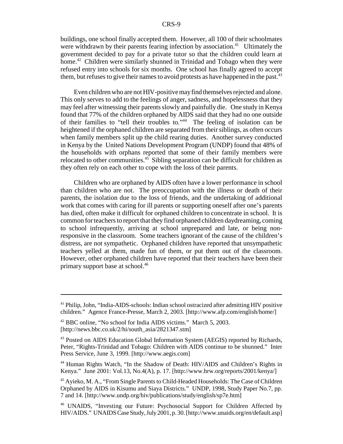buildings, one school finally accepted them. However, all 100 of their schoolmates were withdrawn by their parents fearing infection by association.<sup>41</sup> Ultimately the government decided to pay for a private tutor so that the children could learn at home.<sup>42</sup> Children were similarly shunned in Trinidad and Tobago when they were refused entry into schools for six months. One school has finally agreed to accept them, but refuses to give their names to avoid protests as have happened in the past.  $43$ 

Even children who are not HIV-positive may find themselves rejected and alone. This only serves to add to the feelings of anger, sadness, and hopelessness that they may feel after witnessing their parents slowly and painfully die. One study in Kenya found that 77% of the children orphaned by AIDS said that they had no one outside of their families to "tell their troubles to."44 The feeling of isolation can be heightened if the orphaned children are separated from their siblings, as often occurs when family members split up the child rearing duties. Another survey conducted in Kenya by the United Nations Development Program (UNDP) found that 48% of the households with orphans reported that some of their family members were relocated to other communities. $45$  Sibling separation can be difficult for children as they often rely on each other to cope with the loss of their parents.

Children who are orphaned by AIDS often have a lower performance in school than children who are not. The preoccupation with the illness or death of their parents, the isolation due to the loss of friends, and the undertaking of additional work that comes with caring for ill parents or supporting oneself after one's parents has died, often make it difficult for orphaned children to concentrate in school. It is common for teachers to report that they find orphaned children daydreaming, coming to school infrequently, arriving at school unprepared and late, or being nonresponsive in the classroom. Some teachers ignorant of the cause of the children's distress, are not sympathetic. Orphaned children have reported that unsympathetic teachers yelled at them, made fun of them, or put them out of the classroom. However, other orphaned children have reported that their teachers have been their primary support base at school.<sup>46</sup>

<sup>&</sup>lt;sup>41</sup> Philip, John, "India-AIDS-schools: Indian school ostracized after admitting HIV positive children." Agence France-Presse, March 2, 2003. [http://www.afp.com/english/home/]

<sup>42</sup> BBC online, "No school for India AIDS victims." March 5, 2003. [http://news.bbc.co.uk/2/hi/south\_asia/2821347.stm]

<sup>&</sup>lt;sup>43</sup> Posted on AIDS Education Global Information System (AEGIS) reported by Richards, Peter, "Rights-Trinidad and Tobago: Children with AIDS continue to be shunned." Inter Press Service, June 3, 1999. [http://www.aegis.com]

<sup>44</sup> Human Rights Watch, "In the Shadow of Death: HIV/AIDS and Children's Rights in Kenya." June 2001: Vol.13, No.4(A), p. 17. [http://www.hrw.org/reports/2001/kenya/]

<sup>45</sup> Ayieko, M. A., "From Single Parents to Child-Headed Households: The Case of Children Orphaned by AIDS in Kisumu and Siaya Districts." UNDP, 1998, Study Paper No.7, pp. 7 and 14. [http://www.undp.org/hiv/publications/study/english/sp7e.htm]

<sup>46</sup> UNAIDS, "Investing our Future: Psychosocial Support for Children Affected by HIV/AIDS." UNAIDS Case Study, July 2001, p. 30. [http://www.unaids.org/en/default.asp]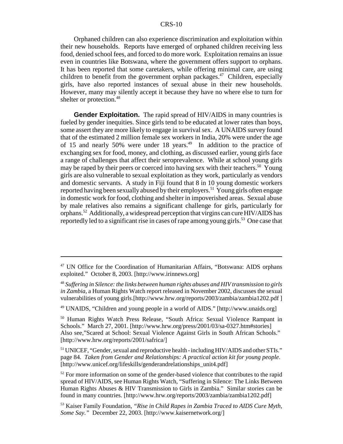Orphaned children can also experience discrimination and exploitation within their new households. Reports have emerged of orphaned children receiving less food, denied school fees, and forced to do more work. Exploitation remains an issue even in countries like Botswana, where the government offers support to orphans. It has been reported that some caretakers, while offering minimal care, are using children to benefit from the government orphan packages.<sup>47</sup> Children, especially girls, have also reported instances of sexual abuse in their new households. However, many may silently accept it because they have no where else to turn for shelter or protection.<sup>48</sup>

**Gender Exploitation.** The rapid spread of HIV/AIDS in many countries is fueled by gender inequities. Since girls tend to be educated at lower rates than boys, some assert they are more likely to engage in survival sex. A UNAIDS survey found that of the estimated 2 million female sex workers in India, 20% were under the age of 15 and nearly 50% were under 18 years.<sup>49</sup> In addition to the practice of exchanging sex for food, money, and clothing, as discussed earlier, young girls face a range of challenges that affect their seroprevalence. While at school young girls may be raped by their peers or coerced into having sex with their teachers.<sup>50</sup> Young girls are also vulnerable to sexual exploitation as they work, particularly as vendors and domestic servants. A study in Fiji found that 8 in 10 young domestic workers reported having been sexually abused by their employers.<sup>51</sup> Young girls often engage in domestic work for food, clothing and shelter in impoverished areas. Sexual abuse by male relatives also remains a significant challenge for girls, particularly for orphans.52 Additionally, a widespread perception that virgins can cure HIV/AIDS has reportedly led to a significant rise in cases of rape among young girls.<sup>53</sup> One case that

<sup>&</sup>lt;sup>47</sup> UN Office for the Coordination of Humanitarian Affairs, "Botswana: AIDS orphans exploited." October 8, 2003. [http://www.irinnews.org]

<sup>48</sup> *Suffering in Silence: the links between human rights abuses and HIV transmission to girls in Zambia*, a Human Rights Watch report released in November 2002, discusses the sexual vulnerabilities of young girls.[http://www.hrw.org/reports/2003/zambia/zambia1202.pdf ]

<sup>49</sup> UNAIDS, "Children and young people in a world of AIDS." [http://www.unaids.org]

<sup>50</sup> Human Rights Watch Press Release, "South Africa: Sexual Violence Rampant in Schools." March 27, 2001. [http://www.hrw.org/press/2001/03/sa-0327.htm#stories] Also see,"Scared at School: Sexual Violence Against Girls in South African Schools." [http://www.hrw.org/reports/2001/safrica/]

<sup>51</sup> UNICEF, "Gender, sexual and reproductive health - including HIV/AIDS and other STIs." page 84. *Taken from Gender and Relationships: A practical action kit for young people*. [http://www.unicef.org/lifeskills/genderandrelationships\_unit4.pdf]

 $52$  For more information on some of the gender-based violence that contributes to the rapid spread of HIV/AIDS, see Human Rights Watch, "Suffering in Silence: The Links Between Human Rights Abuses & HIV Transmission to Girls in Zambia." Similar stories can be found in many countries. [http://www.hrw.org/reports/2003/zambia/zambia1202.pdf]

<sup>53</sup> Kaiser Family Foundation, *"Rise in Child Rapes in Zambia Traced to AIDS Cure Myth, Some Say."* December 22, 2003. [http://www.kaisernetwork.org/]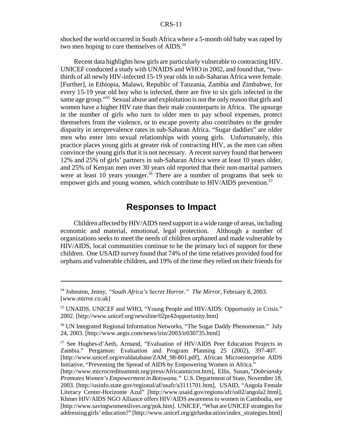shocked the world occurred in South Africa where a 5-month old baby was raped by two men hoping to cure themselves of AIDS.<sup>54</sup>

Recent data highlights how girls are particularly vulnerable to contracting HIV. UNICEF conducted a study with UNAIDS and WHO in 2002, and found that, "twothirds of all newly HIV-infected 15-19 year olds in sub-Saharan Africa were female. [Further], in Ethiopia, Malawi, Republic of Tanzania, Zambia and Zimbabwe, for every 15-19 year old boy who is infected, there are five to six girls infected in the same age group."55 Sexual abuse and exploitation is not the only reason that girls and women have a higher HIV rate than their male counterparts in Africa. The upsurge in the number of girls who turn to older men to pay school expenses, protect themselves from the violence, or to escape poverty also contributes to the gender disparity in seroprevalence rates in sub-Saharan Africa. "Sugar daddies" are older men who enter into sexual relationships with young girls. Unfortunately, this practice places young girls at greater risk of contracting HIV, as the men can often convince the young girls that it is not necessary. A recent survey found that between 12% and 25% of girls' partners in sub-Saharan Africa were at least 10 years older, and 25% of Kenyan men over 30 years old reported that their non-marital partners were at least 10 years younger.<sup>56</sup> There are a number of programs that seek to empower girls and young women, which contribute to HIV/AIDS prevention.<sup>57</sup>

## **Responses to Impact**

Children affected by HIV/AIDS need support in a wide range of areas, including economic and material, emotional, legal protection. Although a number of organizations seeks to meet the needs of children orphaned and made vulnerable by HIV/AIDS, local communities continue to be the primary loci of support for these children. One USAID survey found that 74% of the time relatives provided food for orphans and vulnerable children, and 19% of the time they relied on their friends for

<sup>54</sup> Johnston, Jenny, *"South Africa's Secret Horror." The Mirror*, February 8, 2003. [www.mirror.co.uk]

<sup>55</sup> UNAIDS, UNICEF and WHO, "Young People and HIV/AIDS: Opportunity in Crisis." 2002. [http://www.unicef.org/newsline/02pr42opportunity.htm]

<sup>56</sup> UN Integrated Regional Information Networks, "The Sugar Daddy Phenomenan." July 24, 2003. [http://www.aegis.com/news/irin/2003/ir030735.html]

<sup>57</sup> See Hughes-d'Aeth, Armand, "Evaluation of HIV/AIDS Peer Education Projects in Zambia." Pergamon: Evaluation and Program Planning 25 (2002), 397-407. [http://www.unicef.org/evaldatabase/ZAM\_98-801.pdf], African Microenterprise AIDS Initiative, "Preventing the Spread of AIDS by Empowering Women in Africa."

<sup>[</sup>http://www.microcreditsummit.org/press/Africanmicrot.htm], Ellis, Susan,*"Dobriansky Promotes Women's Empowerment in Botswana."* U.S. Department of State, November 18, 2003. [http://usinfo.state.gov/regional/af/usafr/a3111701.htm], USAID, "Angola Female Literacy Center-Horizonte Azul" [http://www.usaid.gov/regions/afr/ss02/angola2.html], Khmer HIV/AIDS NGO Alliance offers HIV/AIDS awareness to women in Cambodia, see [http://www.savingwomenslives.org/pok.htm]. UNICEF, "What are UNICEF strategies for addressing girls' education?" [http://www.unicef.org/girlseducation/index\_strategies.html]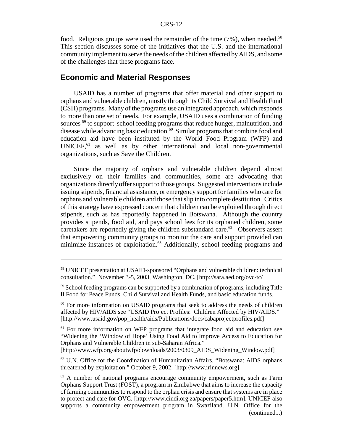food. Religious groups were used the remainder of the time  $(7%)$ , when needed.<sup>58</sup> This section discusses some of the initiatives that the U.S. and the international community implement to serve the needs of the children affected by AIDS, and some of the challenges that these programs face.

## **Economic and Material Responses**

USAID has a number of programs that offer material and other support to orphans and vulnerable children, mostly through its Child Survival and Health Fund (CSH) programs. Many of the programs use an integrated approach, which responds to more than one set of needs. For example, USAID uses a combination of funding sources <sup>59</sup> to support school feeding programs that reduce hunger, malnutrition, and disease while advancing basic education.<sup>60</sup> Similar programs that combine food and education aid have been instituted by the World Food Program (WFP) and  $UNICEF<sub>1</sub><sup>61</sup>$  as well as by other international and local non-governmental organizations, such as Save the Children.

Since the majority of orphans and vulnerable children depend almost exclusively on their families and communities, some are advocating that organizations directly offer support to those groups. Suggested interventions include issuing stipends, financial assistance, or emergency support for families who care for orphans and vulnerable children and those that slip into complete destitution. Critics of this strategy have expressed concern that children can be exploited through direct stipends, such as has reportedly happened in Botswana. Although the country provides stipends, food aid, and pays school fees for its orphaned children, some caretakers are reportedly giving the children substandard care.<sup>62</sup> Observers assert that empowering community groups to monitor the care and support provided can minimize instances of exploitation.<sup>63</sup> Additionally, school feeding programs and

<sup>58</sup> UNICEF presentation at USAID-sponsored "Orphans and vulnerable children: technical consultation." November 3-5, 2003, Washington, DC. [http://sara.aed.org/ovc-tc/]

<sup>&</sup>lt;sup>59</sup> School feeding programs can be supported by a combination of programs, including Title II Food for Peace Funds, Child Survival and Health Funds, and basic education funds.

 $60$  For more information on USAID programs that seek to address the needs of children affected by HIV/AIDS see "USAID Project Profiles: Children Affected by HIV/AIDS." [http://www.usaid.gov/pop\_health/aids/Publications/docs/cabaprojectprofiles.pdf]

<sup>61</sup> For more information on WFP programs that integrate food aid and education see "Widening the 'Window of Hope' Using Food Aid to Improve Access to Education for Orphans and Vulnerable Children in sub-Saharan Africa."

<sup>[</sup>http://www.wfp.org/aboutwfp/downloads/2003/0309\_AIDS\_Widening\_Window.pdf]

 $62$  U.N. Office for the Coordination of Humanitarian Affairs, "Botswana: AIDS orphans threatened by exploitation." October 9, 2002. [http://www.irinnews.org]

<sup>63</sup> A number of national programs encourage community empowerment, such as Farm Orphans Support Trust (FOST), a program in Zimbabwe that aims to increase the capacity of farming communities to respond to the orphan crisis and ensure that systems are in place to protect and care for OVC. [http://www.cindi.org.za/papers/paper5.htm]. UNICEF also supports a community empowerment program in Swaziland. U.N. Office for the (continued...)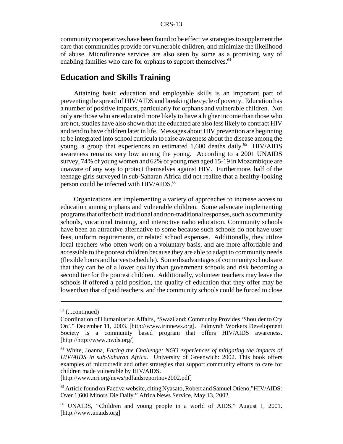community cooperatives have been found to be effective strategies to supplement the care that communities provide for vulnerable children, and minimize the likelihood of abuse. Microfinance services are also seen by some as a promising way of enabling families who care for orphans to support themselves.<sup>64</sup>

## **Education and Skills Training**

Attaining basic education and employable skills is an important part of preventing the spread of HIV/AIDS and breaking the cycle of poverty. Education has a number of positive impacts, particularly for orphans and vulnerable children. Not only are those who are educated more likely to have a higher income than those who are not, studies have also shown that the educated are also less likely to contract HIV and tend to have children later in life. Messages about HIV prevention are beginning to be integrated into school curricula to raise awareness about the disease among the young, a group that experiences an estimated  $1,600$  deaths daily.<sup>65</sup> HIV/AIDS awareness remains very low among the young. According to a 2001 UNAIDS survey, 74% of young women and 62% of young men aged 15-19 in Mozambique are unaware of any way to protect themselves against HIV. Furthermore, half of the teenage girls surveyed in sub-Saharan Africa did not realize that a healthy-looking person could be infected with HIV/AIDS.<sup>66</sup>

Organizations are implementing a variety of approaches to increase access to education among orphans and vulnerable children. Some advocate implementing programs that offer both traditional and non-traditional responses, such as community schools, vocational training, and interactive radio education. Community schools have been an attractive alternative to some because such schools do not have user fees, uniform requirements, or related school expenses. Additionally, they utilize local teachers who often work on a voluntary basis, and are more affordable and accessible to the poorest children because they are able to adapt to community needs (flexible hours and harvest schedule). Some disadvantages of community schools are that they can be of a lower quality than government schools and risk becoming a second tier for the poorest children. Additionally, volunteer teachers may leave the schools if offered a paid position, the quality of education that they offer may be lower than that of paid teachers, and the community schools could be forced to close

[http://www.nri.org/news/pdfaidsreportnov2002.pdf]

 $63$  (...continued)

Coordination of Humanitarian Affairs, "Swaziland: Community Provides 'Shoulder to Cry On'." December 11, 2003. [http://www.irinnews.org]. Palmyrah Workers Development Society is a community based program that offers HIV/AIDS awareness. [http://http://www.pwds.org/]

<sup>64</sup> White, Joanna, *Facing the Challenge: NGO experiences of mitigating the impacts of HIV/AIDS in sub-Saharan Africa.* University of Greenwich: 2002. This book offers examples of microcredit and other strategies that support community efforts to care for children made vulnerable by HIV/AIDS.

<sup>65</sup> Article found on Factiva website, citing Nyasato, Robert and Samuel Otieno,"HIV/AIDS: Over 1,600 Minors Die Daily." Africa News Service, May 13, 2002.

<sup>66</sup> UNAIDS, "Children and young people in a world of AIDS." August 1, 2001. [http://www.unaids.org]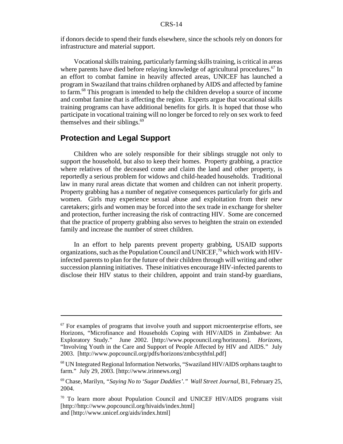if donors decide to spend their funds elsewhere, since the schools rely on donors for infrastructure and material support.

Vocational skills training, particularly farming skills training, is critical in areas where parents have died before relaying knowledge of agricultural procedures.<sup>67</sup> In an effort to combat famine in heavily affected areas, UNICEF has launched a program in Swaziland that trains children orphaned by AIDS and affected by famine to farm.68 This program is intended to help the children develop a source of income and combat famine that is affecting the region. Experts argue that vocational skills training programs can have additional benefits for girls. It is hoped that those who participate in vocational training will no longer be forced to rely on sex work to feed themselves and their siblings. $69$ 

### **Protection and Legal Support**

Children who are solely responsible for their siblings struggle not only to support the household, but also to keep their homes. Property grabbing, a practice where relatives of the deceased come and claim the land and other property, is reportedly a serious problem for widows and child-headed households. Traditional law in many rural areas dictate that women and children can not inherit property. Property grabbing has a number of negative consequences particularly for girls and women. Girls may experience sexual abuse and exploitation from their new caretakers; girls and women may be forced into the sex trade in exchange for shelter and protection, further increasing the risk of contracting HIV. Some are concerned that the practice of property grabbing also serves to heighten the strain on extended family and increase the number of street children.

In an effort to help parents prevent property grabbing, USAID supports organizations, such as the Population Council and UNICEF,<sup>70</sup> which work with HIVinfected parents to plan for the future of their children through will writing and other succession planning initiatives. These initiatives encourage HIV-infected parents to disclose their HIV status to their children, appoint and train stand-by guardians,

 $67$  For examples of programs that involve youth and support microenterprise efforts, see Horizons, "Microfinance and Households Coping with HIV/AIDS in Zimbabwe: An Exploratory Study." June 2002. [http://www.popcouncil.org/horinzons]. *Horizons*, "Involving Youth in the Care and Support of People Affected by HIV and AIDS." July 2003. [http://www.popcouncil.org/pdfs/horizons/zmbcsythfnl.pdf]

<sup>68</sup> UN Integrated Regional Information Networks, "Swaziland HIV/AIDS orphans taught to farm." July 29, 2003. [http://www.irinnews.org]

<sup>69</sup> Chase, Marilyn, *"Saying No to 'Sugar Daddies'." Wall Street Journal*, B1, February 25, 2004.

 $70$  To learn more about Population Council and UNICEF HIV/AIDS programs visit [http://http://www.popcouncil.org/hivaids/index.html] and [http://www.unicef.org/aids/index.html]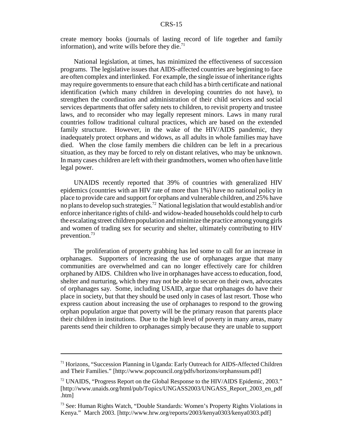create memory books (journals of lasting record of life together and family information), and write wills before they die.<sup>71</sup>

National legislation, at times, has minimized the effectiveness of succession programs. The legislative issues that AIDS-affected countries are beginning to face are often complex and interlinked. For example, the single issue of inheritance rights may require governments to ensure that each child has a birth certificate and national identification (which many children in developing countries do not have), to strengthen the coordination and administration of their child services and social services departments that offer safety nets to children, to revisit property and trustee laws, and to reconsider who may legally represent minors. Laws in many rural countries follow traditional cultural practices, which are based on the extended family structure. However, in the wake of the HIV/AIDS pandemic, they inadequately protect orphans and widows, as all adults in whole families may have died. When the close family members die children can be left in a precarious situation, as they may be forced to rely on distant relatives, who may be unknown. In many cases children are left with their grandmothers, women who often have little legal power.

UNAIDS recently reported that 39% of countries with generalized HIV epidemics (countries with an HIV rate of more than 1%) have no national policy in place to provide care and support for orphans and vulnerable children, and 25% have no plans to develop such strategies.72 National legislation that would establish and/or enforce inheritance rights of child- and widow-headed households could help to curb the escalating street children population and minimize the practice among young girls and women of trading sex for security and shelter, ultimately contributing to HIV prevention.73

The proliferation of property grabbing has led some to call for an increase in orphanages. Supporters of increasing the use of orphanages argue that many communities are overwhelmed and can no longer effectively care for children orphaned by AIDS. Children who live in orphanages have access to education, food, shelter and nurturing, which they may not be able to secure on their own, advocates of orphanages say. Some, including USAID, argue that orphanages do have their place in society, but that they should be used only in cases of last resort. Those who express caution about increasing the use of orphanages to respond to the growing orphan population argue that poverty will be the primary reason that parents place their children in institutions. Due to the high level of poverty in many areas, many parents send their children to orphanages simply because they are unable to support

<sup>71</sup> Horizons, "Succession Planning in Uganda: Early Outreach for AIDS-Affected Children and Their Families." [http://www.popcouncil.org/pdfs/horizons/orphanssum.pdf]

 $72$  UNAIDS, "Progress Report on the Global Response to the HIV/AIDS Epidemic, 2003." [http://www.unaids.org/html/pub/Topics/UNGASS2003/UNGASS\_Report\_2003\_en\_pdf .htm]

<sup>73</sup> See: Human Rights Watch, "Double Standards: Women's Property Rights Violations in Kenya." March 2003. [http://www.hrw.org/reports/2003/kenya0303/kenya0303.pdf]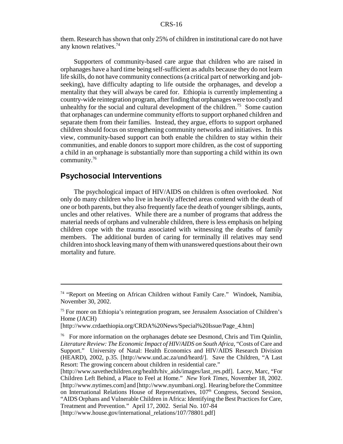them. Research has shown that only 25% of children in institutional care do not have any known relatives.74

Supporters of community-based care argue that children who are raised in orphanages have a hard time being self-sufficient as adults because they do not learn life skills, do not have community connections (a critical part of networking and jobseeking), have difficulty adapting to life outside the orphanages, and develop a mentality that they will always be cared for. Ethiopia is currently implementing a country-wide reintegration program, after finding that orphanages were too costly and unhealthy for the social and cultural development of the children.<sup>75</sup> Some caution that orphanages can undermine community efforts to support orphaned children and separate them from their families. Instead, they argue, efforts to support orphaned children should focus on strengthening community networks and initiatives. In this view, community-based support can both enable the children to stay within their communities, and enable donors to support more children, as the cost of supporting a child in an orphanage is substantially more than supporting a child within its own community.76

## **Psychosocial Interventions**

The psychological impact of HIV/AIDS on children is often overlooked. Not only do many children who live in heavily affected areas contend with the death of one or both parents, but they also frequently face the death of younger siblings, aunts, uncles and other relatives. While there are a number of programs that address the material needs of orphans and vulnerable children, there is less emphasis on helping children cope with the trauma associated with witnessing the deaths of family members. The additional burden of caring for terminally ill relatives may send children into shock leaving many of them with unanswered questions about their own mortality and future.

<sup>74 &</sup>quot;Report on Meeting on African Children without Family Care." Windoek, Namibia, November 30, 2002.

<sup>75</sup> For more on Ethiopia's reintegration program, see Jerusalem Association of Children's Home (JACH)

<sup>[</sup>http://www.crdaethiopia.org/CRDA%20News/Special%20Issue/Page\_4.htm]

<sup>76</sup> For more information on the orphanages debate see Desmond, Chris and Tim Quinlin, *Literature Review: The Economic Impact of HIV/AIDS on South Africa*, "Costs of Care and Support." University of Natal: Health Economics and HIV/AIDS Research Division (HEARD), 2002, p.35. [http://www.und.ac.za/und/heard/]. Save the Children, "A Last Resort: The growing concern about children in residential care."

<sup>[</sup>http://www.savethechildren.org/health/hiv\_aids/images/last\_res.pdf]. Lacey, Marc, "For Children Left Behind, a Place to Feel at Home." *New York Times*, November 18, 2002. [http://www.nytimes.com] and [http://www.nyumbani.org]. Hearing before the Committee on International Relations House of Representatives, 107<sup>th</sup> Congress, Second Session, "AIDS Orphans and Vulnerable Children in Africa: Identifying the Best Practices for Care, Treatment and Prevention." April 17, 2002. Serial No. 107-84

<sup>[</sup>http://www.house.gov/international\_relations/107/78801.pdf]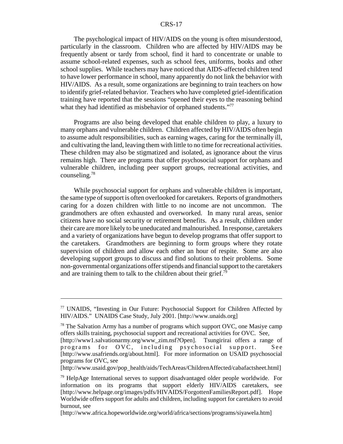The psychological impact of HIV/AIDS on the young is often misunderstood, particularly in the classroom. Children who are affected by HIV/AIDS may be frequently absent or tardy from school, find it hard to concentrate or unable to assume school-related expenses, such as school fees, uniforms, books and other school supplies. While teachers may have noticed that AIDS-affected children tend to have lower performance in school, many apparently do not link the behavior with HIV/AIDS. As a result, some organizations are beginning to train teachers on how to identify grief-related behavior. Teachers who have completed grief-identification training have reported that the sessions "opened their eyes to the reasoning behind what they had identified as misbehavior of orphaned students."<sup>77</sup>

Programs are also being developed that enable children to play, a luxury to many orphans and vulnerable children. Children affected by HIV/AIDS often begin to assume adult responsibilities, such as earning wages, caring for the terminally ill, and cultivating the land, leaving them with little to no time for recreational activities. These children may also be stigmatized and isolated, as ignorance about the virus remains high. There are programs that offer psychosocial support for orphans and vulnerable children, including peer support groups, recreational activities, and counseling.78

While psychosocial support for orphans and vulnerable children is important, the same type of support is often overlooked for caretakers. Reports of grandmothers caring for a dozen children with little to no income are not uncommon. The grandmothers are often exhausted and overworked. In many rural areas, senior citizens have no social security or retirement benefits. As a result, children under their care are more likely to be uneducated and malnourished. In response, caretakers and a variety of organizations have begun to develop programs that offer support to the caretakers. Grandmothers are beginning to form groups where they rotate supervision of children and allow each other an hour of respite. Some are also developing support groups to discuss and find solutions to their problems. Some non-governmental organizations offer stipends and financial support to the caretakers and are training them to talk to the children about their grief.<sup>79</sup>

<sup>77</sup> UNAIDS, "Investing in Our Future: Psychosocial Support for Children Affected by HIV/AIDS." UNAIDS Case Study, July 2001. [http://www.unaids.org]

 $78$  The Salvation Army has a number of programs which support OVC, one Masiye camp offers skills training, psychosocial support and recreational activities for OVC. See,

<sup>[</sup>http://www1.salvationarmy.org/www\_zim.nsf?Open]. Tsungirirai offers a range of programs for OVC, including psychosocial support. See [http://www.usafriends.org/about.html]. For more information on USAID psychosocial programs for OVC, see

<sup>[</sup>http://www.usaid.gov/pop\_health/aids/TechAreas/ChildrenAffected/cabafactsheet.html]

<sup>&</sup>lt;sup>79</sup> HelpAge International serves to support disadvantaged older people worldwide. For information on its programs that support elderly HIV/AIDS caretakers, see [http://www.helpage.org/images/pdfs/HIVAIDS/ForgottenFamiliesReport.pdf]. Hope Worldwide offers support for adults and children, including support for caretakers to avoid burnout, see

<sup>[</sup>http://www.africa.hopeworldwide.org/world/africa/sections/programs/siyawela.htm]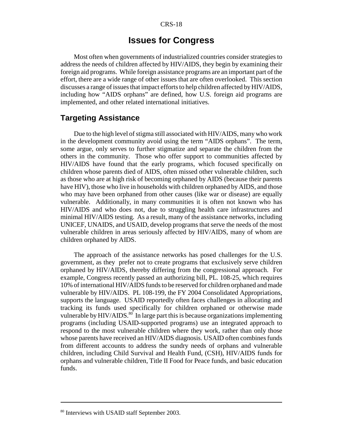## **Issues for Congress**

Most often when governments of industrialized countries consider strategies to address the needs of children affected by HIV/AIDS, they begin by examining their foreign aid programs. While foreign assistance programs are an important part of the effort, there are a wide range of other issues that are often overlooked. This section discusses a range of issues that impact efforts to help children affected by HIV/AIDS, including how "AIDS orphans" are defined, how U.S. foreign aid programs are implemented, and other related international initiatives.

## **Targeting Assistance**

Due to the high level of stigma still associated with HIV/AIDS, many who work in the development community avoid using the term "AIDS orphans". The term, some argue, only serves to further stigmatize and separate the children from the others in the community. Those who offer support to communities affected by HIV/AIDS have found that the early programs, which focused specifically on children whose parents died of AIDS, often missed other vulnerable children, such as those who are at high risk of becoming orphaned by AIDS (because their parents have HIV), those who live in households with children orphaned by AIDS, and those who may have been orphaned from other causes (like war or disease) are equally vulnerable. Additionally, in many communities it is often not known who has HIV/AIDS and who does not, due to struggling health care infrastructures and minimal HIV/AIDS testing. As a result, many of the assistance networks, including UNICEF, UNAIDS, and USAID, develop programs that serve the needs of the most vulnerable children in areas seriously affected by HIV/AIDS, many of whom are children orphaned by AIDS.

The approach of the assistance networks has posed challenges for the U.S. government, as they prefer not to create programs that exclusively serve children orphaned by HIV/AIDS, thereby differing from the congressional approach. For example, Congress recently passed an authorizing bill, PL. 108-25, which requires 10% of international HIV/AIDS funds to be reserved for children orphaned and made vulnerable by HIV/AIDS. PL 108-199, the FY 2004 Consolidated Appropriations, supports the language. USAID reportedly often faces challenges in allocating and tracking its funds used specifically for children orphaned or otherwise made vulnerable by  $HIV/ALDS$ <sup>80</sup>. In large part this is because organizations implementing programs (including USAID-supported programs) use an integrated approach to respond to the most vulnerable children where they work, rather than only those whose parents have received an HIV/AIDS diagnosis. USAID often combines funds from different accounts to address the sundry needs of orphans and vulnerable children, including Child Survival and Health Fund, (CSH), HIV/AIDS funds for orphans and vulnerable children, Title II Food for Peace funds, and basic education funds.

<sup>&</sup>lt;sup>80</sup> Interviews with USAID staff September 2003.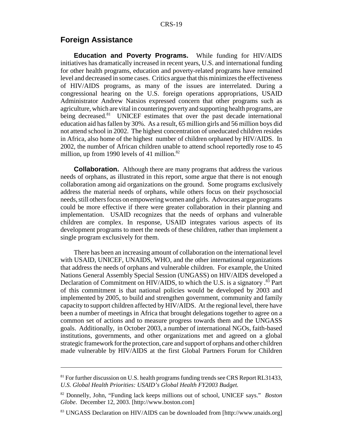## **Foreign Assistance**

**Education and Poverty Programs.** While funding for HIV/AIDS initiatives has dramatically increased in recent years, U.S. and international funding for other health programs, education and poverty-related programs have remained level and decreased in some cases. Critics argue that this minimizes the effectiveness of HIV/AIDS programs, as many of the issues are interrelated. During a congressional hearing on the U.S. foreign operations appropriations, USAID Administrator Andrew Natsios expressed concern that other programs such as agriculture, which are vital in countering poverty and supporting health programs, are being decreased.<sup>81</sup> UNICEF estimates that over the past decade international education aid has fallen by 30%. As a result, 65 million girls and 56 million boys did not attend school in 2002. The highest concentration of uneducated children resides in Africa, also home of the highest number of children orphaned by HIV/AIDS. In 2002, the number of African children unable to attend school reportedly rose to 45 million, up from 1990 levels of 41 million. $82$ 

**Collaboration.** Although there are many programs that address the various needs of orphans, as illustrated in this report, some argue that there is not enough collaboration among aid organizations on the ground. Some programs exclusively address the material needs of orphans, while others focus on their psychosocial needs, still others focus on empowering women and girls. Advocates argue programs could be more effective if there were greater collaboration in their planning and implementation. USAID recognizes that the needs of orphans and vulnerable children are complex. In response, USAID integrates various aspects of its development programs to meet the needs of these children, rather than implement a single program exclusively for them.

There has been an increasing amount of collaboration on the international level with USAID, UNICEF, UNAIDS, WHO, and the other international organizations that address the needs of orphans and vulnerable children. For example, the United Nations General Assembly Special Session (UNGASS) on HIV/AIDS developed a Declaration of Commitment on HIV/AIDS, to which the U.S. is a signatory .<sup>83</sup> Part of this commitment is that national policies would be developed by 2003 and implemented by 2005, to build and strengthen government, community and family capacity to support children affected by HIV/AIDS. At the regional level, there have been a number of meetings in Africa that brought delegations together to agree on a common set of actions and to measure progress towards them and the UNGASS goals. Additionally, in October 2003, a number of international NGOs, faith-based institutions, governments, and other organizations met and agreed on a global strategic framework for the protection, care and support of orphans and other children made vulnerable by HIV/AIDS at the first Global Partners Forum for Children

<sup>&</sup>lt;sup>81</sup> For further discussion on U.S. health programs funding trends see CRS Report RL31433, *U.S. Global Health Priorities: USAID's Global Health FY2003 Budget.*

<sup>82</sup> Donnelly, John, "Funding lack keeps millions out of school, UNICEF says." *Boston Globe*. December 12, 2003. [http://www.boston.com]

<sup>83</sup> UNGASS Declaration on HIV/AIDS can be downloaded from [http://www.unaids.org]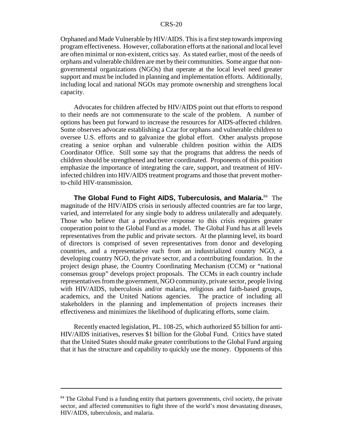Orphaned and Made Vulnerable by HIV/AIDS. This is a first step towards improving program effectiveness. However, collaboration efforts at the national and local level are often minimal or non-existent, critics say. As stated earlier, most of the needs of orphans and vulnerable children are met by their communities. Some argue that nongovernmental organizations (NGOs) that operate at the local level need greater support and must be included in planning and implementation efforts. Additionally, including local and national NGOs may promote ownership and strengthens local capacity.

Advocates for children affected by HIV/AIDS point out that efforts to respond to their needs are not commensurate to the scale of the problem. A number of options has been put forward to increase the resources for AIDS-affected children. Some observes advocate establishing a Czar for orphans and vulnerable children to oversee U.S. efforts and to galvanize the global effort. Other analysts propose creating a senior orphan and vulnerable children position within the AIDS Coordinator Office. Still some say that the programs that address the needs of children should be strengthened and better coordinated. Proponents of this position emphasize the importance of integrating the care, support, and treatment of HIVinfected children into HIV/AIDS treatment programs and those that prevent motherto-child HIV-transmission.

**The Global Fund to Fight AIDS, Tuberculosis, and Malaria.**84 The magnitude of the HIV/AIDS crisis in seriously affected countries are far too large, varied, and interrelated for any single body to address unilaterally and adequately. Those who believe that a productive response to this crisis requires greater cooperation point to the Global Fund as a model. The Global Fund has at all levels representatives from the public and private sectors. At the planning level, its board of directors is comprised of seven representatives from donor and developing countries, and a representative each from an industrialized country NGO, a developing country NGO, the private sector, and a contributing foundation. In the project design phase, the Country Coordinating Mechanism (CCM) or "national consensus group" develops project proposals. The CCMs in each country include representatives from the government, NGO community, private sector, people living with HIV/AIDS, tuberculosis and/or malaria, religious and faith-based groups, academics, and the United Nations agencies. The practice of including all stakeholders in the planning and implementation of projects increases their effectiveness and minimizes the likelihood of duplicating efforts, some claim.

Recently enacted legislation, PL. 108-25, which authorized \$5 billion for anti-HIV/AIDS initiatives, reserves \$1 billion for the Global Fund. Critics have stated that the United States should make greater contributions to the Global Fund arguing that it has the structure and capability to quickly use the money. Opponents of this

<sup>&</sup>lt;sup>84</sup> The Global Fund is a funding entity that partners governments, civil society, the private sector, and affected communities to fight three of the world's most devastating diseases, HIV/AIDS, tuberculosis, and malaria.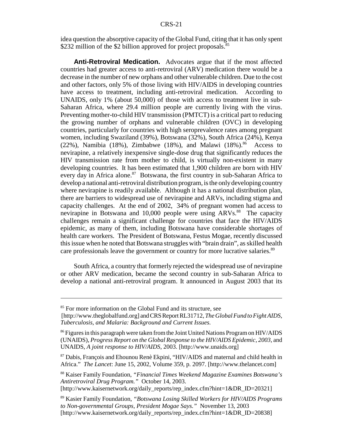idea question the absorptive capacity of the Global Fund, citing that it has only spent \$232 million of the \$2 billion approved for project proposals.<sup>85</sup>

**Anti-Retroviral Medication.** Advocates argue that if the most affected countries had greater access to anti-retroviral (ARV) medication there would be a decrease in the number of new orphans and other vulnerable children. Due to the cost and other factors, only 5% of those living with HIV/AIDS in developing countries have access to treatment, including anti-retroviral medication. According to UNAIDS, only 1% (about 50,000) of those with access to treatment live in sub-Saharan Africa, where 29.4 million people are currently living with the virus. Preventing mother-to-child HIV transmission (PMTCT) is a critical part to reducing the growing number of orphans and vulnerable children (OVC) in developing countries, particularly for countries with high seroprevalence rates among pregnant women, including Swaziland (39%), Botswana (32%), South Africa (24%), Kenya (22%), Namibia (18%), Zimbabwe (18%), and Malawi (18%).<sup>86</sup> Access to nevirapine, a relatively inexpensive single-dose drug that significantly reduces the HIV transmission rate from mother to child, is virtually non-existent in many developing countries. It has been estimated that 1,900 children are born with HIV every day in Africa alone.<sup>87</sup> Botswana, the first country in sub-Saharan Africa to develop a national anti-retroviral distribution program, is the only developing country where nevirapine is readily available. Although it has a national distribution plan, there are barriers to widespread use of nevirapine and ARVs, including stigma and capacity challenges. At the end of 2002, 34% of pregnant women had access to nevirapine in Botswana and 10,000 people were using ARVs.<sup>88</sup> The capacity challenges remain a significant challenge for countries that face the HIV/AIDS epidemic, as many of them, including Botswana have considerable shortages of health care workers. The President of Botswana, Festus Mogae, recently discussed this issue when he noted that Botswana struggles with "brain drain", as skilled health care professionals leave the government or country for more lucrative salaries.<sup>89</sup>

South Africa, a country that formerly rejected the widespread use of nevirapine or other ARV medication, became the second country in sub-Saharan Africa to develop a national anti-retroviral program. It announced in August 2003 that its

88 Kaiser Family Foundation, *"Financial Times Weekend Magazine Examines Botswana's Antiretroviral Drug Program."* October 14, 2003.

[http://www.kaisernetwork.org/daily\_reports/rep\_index.cfm?hint=1&DR\_ID=20321]

<sup>&</sup>lt;sup>85</sup> For more information on the Global Fund and its structure, see

 <sup>[</sup>http://www.theglobalfund.org] and CRS Report RL31712, *The Global Fund to Fight AIDS, Tuberculosis, and Malaria: Background and Current Issues.*

<sup>&</sup>lt;sup>86</sup> Figures in this paragraph were taken from the Joint United Nations Program on HIV/AIDS (UNAIDS), *Progress Report on the Global Response to the HIV/AIDS Epidemic, 2003,* and UNAIDS, *A joint response to HIV/AIDS*, 2003. [http://www.unaids.org]

<sup>87</sup> Dabis, François and Ehounou Renè Ekpini, "HIV/AIDS and maternal and child health in Africa." *The Lancet*: June 15, 2002, Volume 359, p. 2097. [http://www.thelancet.com]

<sup>89</sup> Kasier Family Foundation, *"Botswana Losing Skilled Workers for HIV/AIDS Programs to Non-governmental Groups, President Mogae Says."* November 13, 2003 [http://www.kaisernetwork.org/daily\_reports/rep\_index.cfm?hint=1&DR\_ID=20838]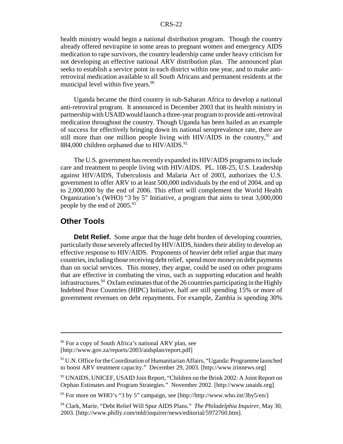health ministry would begin a national distribution program. Though the country already offered nevirapine in some areas to pregnant women and emergency AIDS medication to rape survivors, the country leadership came under heavy criticism for not developing an effective national ARV distribution plan. The announced plan seeks to establish a service point in each district within one year, and to make antiretroviral medication available to all South Africans and permanent residents at the municipal level within five years.<sup>90</sup>

Uganda became the third country in sub-Saharan Africa to develop a national anti-retroviral program. It announced in December 2003 that its health ministry in partnership with USAID would launch a three-year program to provide anti-retroviral medication throughout the country. Though Uganda has been hailed as an example of success for effectively bringing down its national seroprevalence rate, there are still more than one million people living with  $HIV/ALDS$  in the country,  $91$  and 884,000 children orphaned due to HIV/AIDS.<sup>92</sup>

The U.S. government has recently expanded its HIV/AIDS programs to include care and treatment to people living with HIV/AIDS. PL. 108-25, U.S. Leadership against HIV/AIDS, Tuberculosis and Malaria Act of 2003, authorizes the U.S. government to offer ARV to at least 500,000 individuals by the end of 2004, and up to 2,000,000 by the end of 2006. This effort will complement the World Health Organization's (WHO) "3 by 5" Initiative, a program that aims to treat 3,000,000 people by the end of 2005.<sup>93</sup>

## **Other Tools**

**Debt Relief.** Some argue that the huge debt burden of developing countries, particularly those severely affected by HIV/AIDS, hinders their ability to develop an effective response to HIV/AIDS. Proponents of heavier debt relief argue that many countries, including those receiving debt relief, spend more money on debt payments than on social services. This money, they argue, could be used on other programs that are effective in combating the virus, such as supporting education and health infrastructures. <sup>94</sup> Oxfam estimates that of the 26 countries participating in the Highly Indebted Poor Countries (HIPC) Initiative, half are still spending 15% or more of government revenues on debt repayments. For example, Zambia is spending 30%

 $90$  For a copy of South Africa's national ARV plan, see [http://www.gov.za/reports/2003/aidsplan/report.pdf]

 $91$  U.N. Office for the Coordination of Humanitarian Affairs, "Uganda: Programme launched to boost ARV treatment capacity." December 29, 2003. [http://www.irinnews.org]

<sup>92</sup> UNAIDS, UNICEF, USAID Join Report, "Children on the Brink 2002: A Joint Report on Orphan Estimates and Program Strategies." November 2002. [http://www.unaids.org]

 $93$  For more on WHO's "3 by 5" campaign, see [http://http://www.who.int/3by5/en/]

<sup>94</sup> Clark, Marie, "Debt Relief Will Spur AIDS Plans." *The Philadelphia Inquirer*, May 30, 2003. [http://www.philly.com/mld/inquirer/news/editorial/5972760.htm].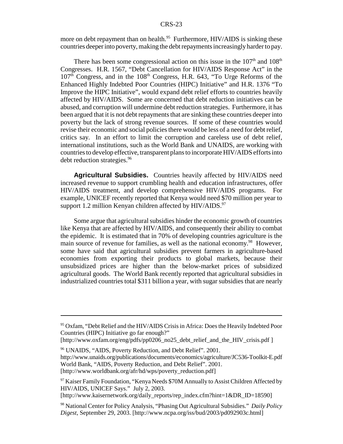more on debt repayment than on health.<sup>95</sup> Furthermore, HIV/AIDS is sinking these countries deeper into poverty, making the debt repayments increasingly harder to pay.

There has been some congressional action on this issue in the  $107<sup>th</sup>$  and  $108<sup>th</sup>$ Congresses. H.R. 1567, "Debt Cancellation for HIV/AIDS Response Act" in the 107<sup>th</sup> Congress, and in the 108<sup>th</sup> Congress, H.R. 643, "To Urge Reforms of the Enhanced Highly Indebted Poor Countries (HIPC) Initiative" and H.R. 1376 "To Improve the HIPC Initiative", would expand debt relief efforts to countries heavily affected by HIV/AIDS. Some are concerned that debt reduction initiatives can be abused, and corruption will undermine debt reduction strategies. Furthermore, it has been argued that it is not debt repayments that are sinking these countries deeper into poverty but the lack of strong revenue sources. If some of these countries would revise their economic and social policies there would be less of a need for debt relief, critics say. In an effort to limit the corruption and careless use of debt relief, international institutions, such as the World Bank and UNAIDS, are working with countries to develop effective, transparent plans to incorporate HIV/AIDS efforts into debt reduction strategies.<sup>96</sup>

**Agricultural Subsidies.** Countries heavily affected by HIV/AIDS need increased revenue to support crumbling health and education infrastructures, offer HIV/AIDS treatment, and develop comprehensive HIV/AIDS programs. For example, UNICEF recently reported that Kenya would need \$70 million per year to support 1.2 million Kenyan children affected by  $HIV/ALDS$ .<sup>97</sup>

Some argue that agricultural subsidies hinder the economic growth of countries like Kenya that are affected by HIV/AIDS, and consequently their ability to combat the epidemic. It is estimated that in 70% of developing countries agriculture is the main source of revenue for families, as well as the national economy.<sup>98</sup> However, some have said that agricultural subsidies prevent farmers in agriculture-based economies from exporting their products to global markets, because their unsubsidized prices are higher than the below-market prices of subsidized agricultural goods. The World Bank recently reported that agricultural subsidies in industrialized countries total \$311 billion a year, with sugar subsidies that are nearly

96 UNAIDS, "AIDS, Poverty Reduction, and Debt Relief". 2001. http://www.unaids.org/publications/documents/economics/agriculture/JC536-Toolkit-E.pdf World Bank, "AIDS, Poverty Reduction, and Debt Relief". 2001. [http://www.worldbank.org/afr/hd/wps/poverty\_reduction.pdf]

[http://www.kaisernetwork.org/daily\_reports/rep\_index.cfm?hint=1&DR\_ID=18590]

<sup>&</sup>lt;sup>95</sup> Oxfam, "Debt Relief and the HIV/AIDS Crisis in Africa: Does the Heavily Indebted Poor Countries (HIPC) Initiative go far enough?"

<sup>[</sup>http://www.oxfam.org/eng/pdfs/pp0206\_no25\_debt\_relief\_and\_the\_HIV\_crisis.pdf ]

 $97$  Kaiser Family Foundation, "Kenya Needs \$70M Annually to Assist Children Affected by HIV/AIDS, UNICEF Says." July 2, 2003.

<sup>98</sup> National Center for Policy Analysis, "Phasing Out Agricultural Subsidies." *Daily Policy Digest*, September 29, 2003. [http://www.ncpa.org/iss/bud/2003/pd092903c.html]